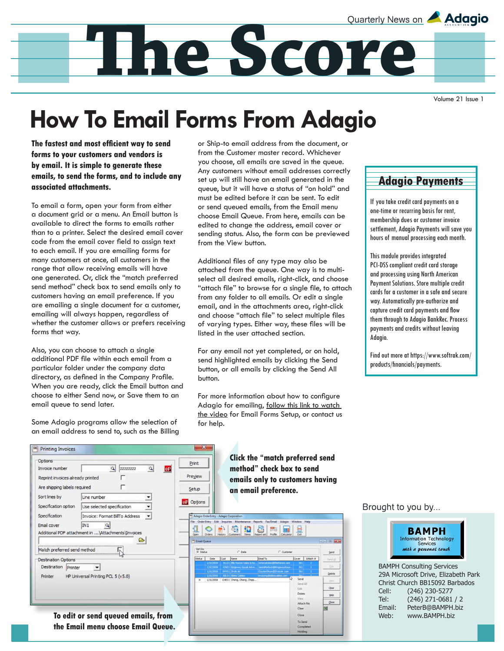Quarterly News on **Adagio** 

Volume 21 Issue 1

# **How To Email Forms From Adagio**

**The fastest and most efficient way to send forms to your customers and vendors is by email. It is simple to generate these emails, to send the forms, and to include any associated attachments.** 

To email a form, open your form from either a document grid or a menu. An Email button is available to direct the forms to emails rather than to a printer. Select the desired email cover code from the email cover field to assign text to each email. If you are emailing forms for many customers at once, all customers in the range that allow receiving emails will have one generated. Or, click the "match preferred send method" check box to send emails only to customers having an email preference. If you are emailing a single document for a customer, emailing will always happen, regardless of whether the customer allows or prefers receiving forms that way.

Also, you can choose to attach a single additional PDF file within each email from a particular folder under the company data directory, as defined in the Company Profile. When you are ready, click the Email button and choose to either Send now, or Save them to an email queue to send later.

Some Adagio programs allow the selection of an email address to send to, such as the Billing or Ship-to email address from the document, or from the Customer master record. Whichever you choose, all emails are saved in the queue. Any customers without email addresses correctly set up will still have an email generated in the queue, but it will have a status of "on hold" and must be edited before it can be sent. To edit or send queued emails, from the Email menu choose Email Queue. From here, emails can be edited to change the address, email cover or sending status. Also, the form can be previewed from the View button.

**e Score**

Additional files of any type may also be attached from the queue. One way is to multiselect all desired emails, right-click, and choose "attach file" to browse for a single file, to attach from any folder to all emails. Or edit a single email, and in the attachments area, right-click and choose "attach file" to select multiple files of varying types. Either way, these files will be listed in the user attached section.

For any email not yet completed, or on hold, send highlighted emails by clicking the Send button, or all emails by clicking the Send All button.

For more information about how to configure Adagio for emailing, [follow this link to watch](https://softrak.com/resources/video-gallery/common-features/-in-category/categories/common-features/emailing-forms-setup#featuredvideo)  [the video for Email Forms Setup,](https://softrak.com/resources/video-gallery/common-features/-in-category/categories/common-features/emailing-forms-setup#featuredvideo) or contact us for help.

### **Adagio Payments**

If you take credit card payments on a one-time or recurring basis for rent, membership dues or customer invoice settlement, Adagio Payments will save you hours of manual processing each month.

This module provides integrated PCI-DSS compliant credit card storage and processing using North American Payment Solutions. Store multiple credit cards for a customer in a safe and secure way. Automatically pre-authorize and capture credit card payments and flow them through to Adagio BankRec. Process payments and credits without leaving Adagio.

Find out more at [https://www.softrak.com/](https://www.softrak.com/products/financials/payments) [products/financials/payments](https://www.softrak.com/products/financials/payments).

### De Printing Invoices  $\sim$ Ontions Print Invoice number  $Q$  zzzzzzzz  $\mathbf{Q}$  $eP$ Preview Reprint invoices already printed Г Are shipping labels required  $\Gamma$ Setup Sort lines by Line number  $\overline{\phantom{0}}$  $\overline{\bullet}$  Online Specification option | Use selected specification  $\overline{\phantom{0}}$  $\overline{\phantom{0}}$ Specification Invoice: Format BillTo Address  $\sqrt{IN1}$ Email cover  $\boxed{\alpha}$ Additional PDF attachment in ... \Attachments\Invoices  $\triangleright$ Match preferred send method 1 **Destination Options** Destination Printer  $\blacktriangledown$ Printer HP Universal Printing PCL 5 (v5.0) **To edit or send queued emails, from the Email menu choose Email Queue.**

**Click the "match preferred send method" check box to send emails only to customers having an email preference.** 

| Open                                                                         | Orders    | $\overline{01}$<br><b>History</b> | Customers<br>Items        | File Order Entry Edit Inquiries Maintenance Reports Fax/Email Adagio Window Help<br>æ.<br>98<br>Calculator<br>Profile<br><b>Report set</b> | Exit        |                 |             |
|------------------------------------------------------------------------------|-----------|-----------------------------------|---------------------------|--------------------------------------------------------------------------------------------------------------------------------------------|-------------|-----------------|-------------|
| <sup>oe</sup> Email Queue<br>Sort by<br>$C$ Date<br>C. O istomer<br>G Status |           |                                   |                           |                                                                                                                                            |             |                 | Send        |
| Status                                                                       | Date      | <b>Cust</b>                       | Name                      | <b>Email To</b>                                                                                                                            | Cover       | Attach $\equiv$ | Send All    |
|                                                                              | 1/10/2008 |                                   |                           | ELL01 Ellis Marine Sales & Re VictoriaKelso @EllisMarine.com                                                                               | IN1         | $\overline{2}$  |             |
|                                                                              | 1/10/2008 |                                   |                           | KIN01 Kingsway Kayak Adve JasonMatlock@KingswayKaya                                                                                        | IN1         | $\overline{2}$  | Edit        |
|                                                                              | 1/10/2008 |                                   | SHY01 Shylo Air           | ClaytonShum@ShyloAir.com                                                                                                                   | <b>TN1</b>  | $\overline{2}$  | Delete      |
|                                                                              | 1/10/2008 |                                   | <b>ABLO1</b> Ables Cables | invoicing @ablescables.com                                                                                                                 | <b>TALL</b> | b.              |             |
| н                                                                            | 1/10/2008 |                                   | CHE01 Cheng, Cheng, Chipp | D                                                                                                                                          | Send        |                 | View        |
|                                                                              |           |                                   |                           |                                                                                                                                            | Send All    |                 |             |
|                                                                              |           |                                   |                           |                                                                                                                                            | Edit        |                 | Clear       |
|                                                                              |           |                                   |                           |                                                                                                                                            | Delete      |                 | Help        |
|                                                                              |           |                                   |                           |                                                                                                                                            | <b>View</b> |                 |             |
|                                                                              |           |                                   |                           |                                                                                                                                            | Attach file |                 | Close       |
|                                                                              |           |                                   |                           |                                                                                                                                            | Clear       |                 | $\boxtimes$ |
|                                                                              |           |                                   |                           |                                                                                                                                            | Close       |                 |             |
|                                                                              |           |                                   |                           |                                                                                                                                            | To Send     |                 |             |
|                                                                              |           |                                   |                           |                                                                                                                                            |             | Completed       |             |
|                                                                              |           |                                   |                           |                                                                                                                                            | Holding     |                 |             |

Brought to you by...



BAMPH Consulting Services 29A Microsoft Drive, Elizabeth Park Christ Church BB15092 Barbados<br>Cell: (246) 230-5277 Cell: (246) 230-5277 Tel: (246) 271-0681 / 2<br>Email: PeterB@BAMPH.biz PeterB@BAMPH.biz Web: www.BAMPH.biz